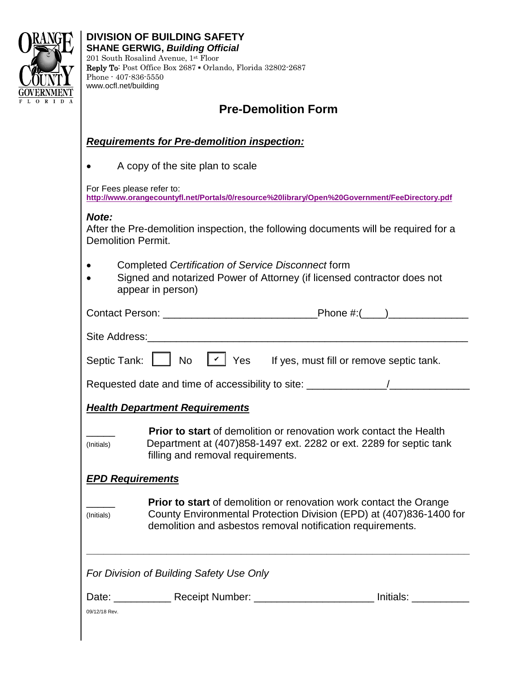

## **Pre-Demolition Form**

#### *Requirements for Pre-demolition inspection:*

• A copy of the site plan to scale

For Fees please refer to:

**<http://www.orangecountyfl.net/Portals/0/resource%20library/Open%20Government/FeeDirectory.pdf>**

#### *Note:*

After the Pre-demolition inspection, the following documents will be required for a Demolition Permit.

- • Completed *Certification of Service Disconnect* form
- Signed and notarized Power of Attorney (if licensed contractor does not appear in person)

| Septic Tank: $\lfloor \nu \rfloor$ No $\lfloor \rfloor$ Yes If yes, must fill or remove septic tank. |                                                                                                                                                                                                                |  |  |  |  |  |  |  |
|------------------------------------------------------------------------------------------------------|----------------------------------------------------------------------------------------------------------------------------------------------------------------------------------------------------------------|--|--|--|--|--|--|--|
| Requested date and time of accessibility to site: ______________________________                     |                                                                                                                                                                                                                |  |  |  |  |  |  |  |
| <b>Health Department Requirements</b>                                                                |                                                                                                                                                                                                                |  |  |  |  |  |  |  |
| (Initials)                                                                                           | <b>Prior to start</b> of demolition or renovation work contact the Health<br>Department at (407)858-1497 ext. 2282 or ext. 2289 for septic tank<br>filling and removal requirements.                           |  |  |  |  |  |  |  |
| <b>EPD Requirements</b>                                                                              |                                                                                                                                                                                                                |  |  |  |  |  |  |  |
| (Initials)                                                                                           | <b>Prior to start</b> of demolition or renovation work contact the Orange<br>County Environmental Protection Division (EPD) at (407)836-1400 for<br>demolition and asbestos removal notification requirements. |  |  |  |  |  |  |  |
| For Division of Building Safety Use Only                                                             |                                                                                                                                                                                                                |  |  |  |  |  |  |  |
| 09/12/18 Rev.                                                                                        | Date: _____________Receipt Number: ________________________________Initials: __________                                                                                                                        |  |  |  |  |  |  |  |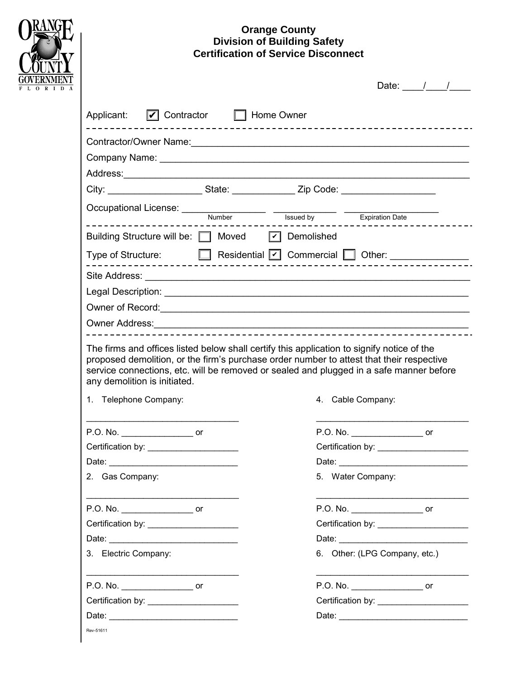